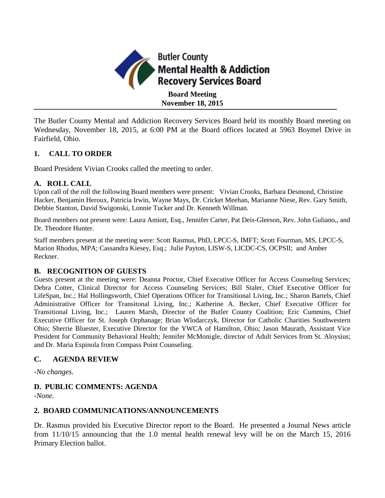

**November 18, 2015**

The Butler County Mental and Addiction Recovery Services Board held its monthly Board meeting on Wednesday, November 18, 2015, at 6:00 PM at the Board offices located at 5963 Boymel Drive in Fairfield, Ohio.

## **1. CALL TO ORDER**

Board President Vivian Crooks called the meeting to order.

## **A. ROLL CALL**

Upon call of the roll the following Board members were present: Vivian Crooks, Barbara Desmond, Christine Hacker, Benjamin Heroux, Patricia Irwin, Wayne Mays, Dr. Cricket Meehan, Marianne Niese, Rev. Gary Smith, Debbie Stanton, David Swigonski, Lonnie Tucker and Dr. Kenneth Willman.

Board members not present were: Laura Amiott, Esq., Jennifer Carter, Pat Deis-Gleeson, Rev. John Guliano,, and Dr. Theodore Hunter.

Staff members present at the meeting were: Scott Rasmus, PhD, LPCC-S, IMFT; Scott Fourman, MS, LPCC-S, Marion Rhodus, MPA; Cassandra Kiesey, Esq.; Julie Payton, LISW-S, LICDC-CS, OCPSII; and Amber Reckner.

## **B. RECOGNITION OF GUESTS**

Guests present at the meeting were: Deanna Proctor, Chief Executive Officer for Access Counseling Services; Debra Cotter, Clinical Director for Access Counseling Services; Bill Staler, Chief Executive Officer for LifeSpan, Inc.; Hal Hollingsworth, Chief Operations Officer for Transitional Living, Inc.; Sharon Bartels, Chief Administrative Officer for Transitonal Living, Inc.; Katherine A. Becker, Chief Executive Officer for Transitional Living, Inc.; Lauren Marsh, Director of the Butler County Coalition; Eric Cummins, Chief Executive Officer for St. Joseph Orphanage; Brian Wlodarczyk, Director for Catholic Charities Southwestern Ohio; Sherrie Bluester, Executive Director for the YWCA of Hamilton, Ohio; Jason Maurath, Assistant Vice President for Community Behavioral Health; Jennifer McMonigle, director of Adult Services from St. Aloysius; and Dr. Maria Espinola from Compass Point Counseling.

## **C. AGENDA REVIEW**

*-No changes.*

# **D. PUBLIC COMMENTS: AGENDA**

*-None.*

## **2. BOARD COMMUNICATIONS/ANNOUNCEMENTS**

Dr. Rasmus provided his Executive Director report to the Board. He presented a Journal News article from 11/10/15 announcing that the 1.0 mental health renewal levy will be on the March 15, 2016 Primary Election ballot.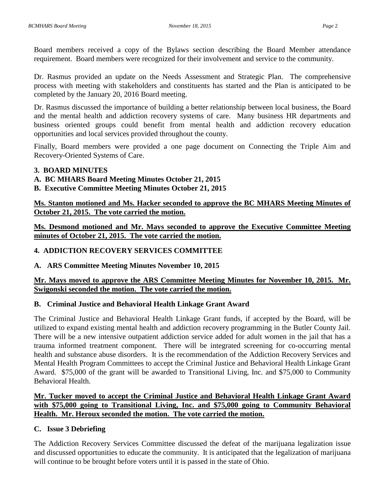Board members received a copy of the Bylaws section describing the Board Member attendance requirement. Board members were recognized for their involvement and service to the community.

Dr. Rasmus provided an update on the Needs Assessment and Strategic Plan. The comprehensive process with meeting with stakeholders and constituents has started and the Plan is anticipated to be completed by the January 20, 2016 Board meeting.

Dr. Rasmus discussed the importance of building a better relationship between local business, the Board and the mental health and addiction recovery systems of care. Many business HR departments and business oriented groups could benefit from mental health and addiction recovery education opportunities and local services provided throughout the county.

Finally, Board members were provided a one page document on Connecting the Triple Aim and Recovery-Oriented Systems of Care.

## **3. BOARD MINUTES**

# **A. BC MHARS Board Meeting Minutes October 21, 2015**

**B. Executive Committee Meeting Minutes October 21, 2015**

**Ms. Stanton motioned and Ms. Hacker seconded to approve the BC MHARS Meeting Minutes of October 21, 2015. The vote carried the motion.**

**Ms. Desmond motioned and Mr. Mays seconded to approve the Executive Committee Meeting minutes of October 21, 2015. The vote carried the motion.**

# **4. ADDICTION RECOVERY SERVICES COMMITTEE**

## **A. ARS Committee Meeting Minutes November 10, 2015**

## **Mr. Mays moved to approve the ARS Committee Meeting Minutes for November 10, 2015. Mr. Swigonski seconded the motion. The vote carried the motion.**

## **B. Criminal Justice and Behavioral Health Linkage Grant Award**

The Criminal Justice and Behavioral Health Linkage Grant funds, if accepted by the Board, will be utilized to expand existing mental health and addiction recovery programming in the Butler County Jail. There will be a new intensive outpatient addiction service added for adult women in the jail that has a trauma informed treatment component. There will be integrated screening for co-occurring mental health and substance abuse disorders. It is the recommendation of the Addiction Recovery Services and Mental Health Program Committees to accept the Criminal Justice and Behavioral Health Linkage Grant Award. \$75,000 of the grant will be awarded to Transitional Living, Inc. and \$75,000 to Community Behavioral Health.

# **Mr. Tucker moved to accept the Criminal Justice and Behavioral Health Linkage Grant Award with \$75,000 going to Transitional Living, Inc. and \$75,000 going to Community Behavioral Health. Mr. Heroux seconded the motion. The vote carried the motion.**

## **C. Issue 3 Debriefing**

The Addiction Recovery Services Committee discussed the defeat of the marijuana legalization issue and discussed opportunities to educate the community. It is anticipated that the legalization of marijuana will continue to be brought before voters until it is passed in the state of Ohio.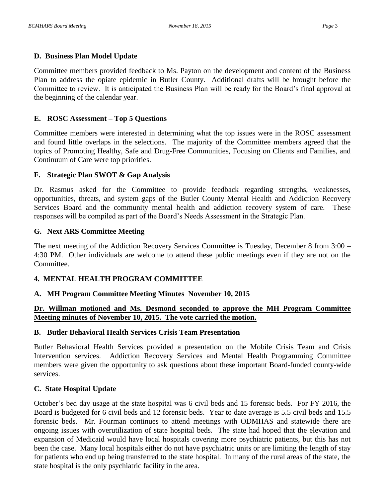#### **D. Business Plan Model Update**

Committee members provided feedback to Ms. Payton on the development and content of the Business Plan to address the opiate epidemic in Butler County. Additional drafts will be brought before the Committee to review. It is anticipated the Business Plan will be ready for the Board's final approval at the beginning of the calendar year.

#### **E. ROSC Assessment – Top 5 Questions**

Committee members were interested in determining what the top issues were in the ROSC assessment and found little overlaps in the selections. The majority of the Committee members agreed that the topics of Promoting Healthy, Safe and Drug-Free Communities, Focusing on Clients and Families, and Continuum of Care were top priorities.

#### **F. Strategic Plan SWOT & Gap Analysis**

Dr. Rasmus asked for the Committee to provide feedback regarding strengths, weaknesses, opportunities, threats, and system gaps of the Butler County Mental Health and Addiction Recovery Services Board and the community mental health and addiction recovery system of care. These responses will be compiled as part of the Board's Needs Assessment in the Strategic Plan.

#### **G. Next ARS Committee Meeting**

The next meeting of the Addiction Recovery Services Committee is Tuesday, December 8 from 3:00 – 4:30 PM. Other individuals are welcome to attend these public meetings even if they are not on the Committee.

## **4. MENTAL HEALTH PROGRAM COMMITTEE**

#### **A. MH Program Committee Meeting Minutes November 10, 2015**

#### **Dr. Willman motioned and Ms. Desmond seconded to approve the MH Program Committee Meeting minutes of November 10, 2015. The vote carried the motion.**

#### **B. Butler Behavioral Health Services Crisis Team Presentation**

Butler Behavioral Health Services provided a presentation on the Mobile Crisis Team and Crisis Intervention services. Addiction Recovery Services and Mental Health Programming Committee members were given the opportunity to ask questions about these important Board-funded county-wide services.

## **C. State Hospital Update**

October's bed day usage at the state hospital was 6 civil beds and 15 forensic beds. For FY 2016, the Board is budgeted for 6 civil beds and 12 forensic beds. Year to date average is 5.5 civil beds and 15.5 forensic beds. Mr. Fourman continues to attend meetings with ODMHAS and statewide there are ongoing issues with overutilization of state hospital beds. The state had hoped that the elevation and expansion of Medicaid would have local hospitals covering more psychiatric patients, but this has not been the case. Many local hospitals either do not have psychiatric units or are limiting the length of stay for patients who end up being transferred to the state hospital. In many of the rural areas of the state, the state hospital is the only psychiatric facility in the area.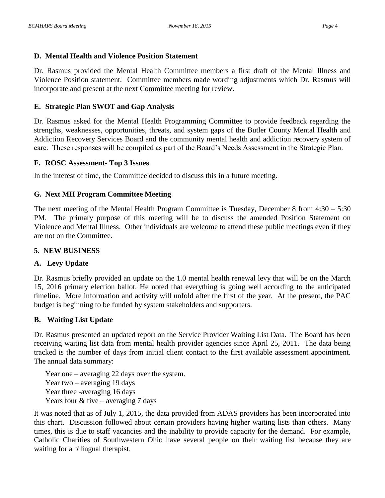#### **D. Mental Health and Violence Position Statement**

Dr. Rasmus provided the Mental Health Committee members a first draft of the Mental Illness and Violence Position statement. Committee members made wording adjustments which Dr. Rasmus will incorporate and present at the next Committee meeting for review.

## **E. Strategic Plan SWOT and Gap Analysis**

Dr. Rasmus asked for the Mental Health Programming Committee to provide feedback regarding the strengths, weaknesses, opportunities, threats, and system gaps of the Butler County Mental Health and Addiction Recovery Services Board and the community mental health and addiction recovery system of care. These responses will be compiled as part of the Board's Needs Assessment in the Strategic Plan.

## **F. ROSC Assessment- Top 3 Issues**

In the interest of time, the Committee decided to discuss this in a future meeting.

# **G. Next MH Program Committee Meeting**

The next meeting of the Mental Health Program Committee is Tuesday, December 8 from 4:30 – 5:30 PM. The primary purpose of this meeting will be to discuss the amended Position Statement on Violence and Mental Illness. Other individuals are welcome to attend these public meetings even if they are not on the Committee.

# **5. NEW BUSINESS**

# **A. Levy Update**

Dr. Rasmus briefly provided an update on the 1.0 mental health renewal levy that will be on the March 15, 2016 primary election ballot. He noted that everything is going well according to the anticipated timeline. More information and activity will unfold after the first of the year. At the present, the PAC budget is beginning to be funded by system stakeholders and supporters.

## **B. Waiting List Update**

Dr. Rasmus presented an updated report on the Service Provider Waiting List Data. The Board has been receiving waiting list data from mental health provider agencies since April 25, 2011. The data being tracked is the number of days from initial client contact to the first available assessment appointment. The annual data summary:

Year one – averaging 22 days over the system. Year two – averaging 19 days Year three -averaging 16 days Years four  $&$  five – averaging 7 days

It was noted that as of July 1, 2015, the data provided from ADAS providers has been incorporated into this chart. Discussion followed about certain providers having higher waiting lists than others. Many times, this is due to staff vacancies and the inability to provide capacity for the demand. For example, Catholic Charities of Southwestern Ohio have several people on their waiting list because they are waiting for a bilingual therapist.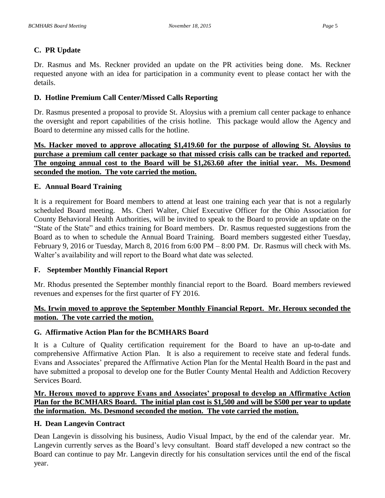## **C. PR Update**

Dr. Rasmus and Ms. Reckner provided an update on the PR activities being done. Ms. Reckner requested anyone with an idea for participation in a community event to please contact her with the details.

## **D. Hotline Premium Call Center/Missed Calls Reporting**

Dr. Rasmus presented a proposal to provide St. Aloysius with a premium call center package to enhance the oversight and report capabilities of the crisis hotline. This package would allow the Agency and Board to determine any missed calls for the hotline.

**Ms. Hacker moved to approve allocating \$1,419.60 for the purpose of allowing St. Aloysius to purchase a premium call center package so that missed crisis calls can be tracked and reported. The ongoing annual cost to the Board will be \$1,263.60 after the initial year. Ms. Desmond seconded the motion. The vote carried the motion.**

## **E. Annual Board Training**

It is a requirement for Board members to attend at least one training each year that is not a regularly scheduled Board meeting. Ms. Cheri Walter, Chief Executive Officer for the Ohio Association for County Behavioral Health Authorities, will be invited to speak to the Board to provide an update on the "State of the State" and ethics training for Board members. Dr. Rasmus requested suggestions from the Board as to when to schedule the Annual Board Training. Board members suggested either Tuesday, February 9, 2016 or Tuesday, March 8, 2016 from 6:00 PM – 8:00 PM. Dr. Rasmus will check with Ms. Walter's availability and will report to the Board what date was selected.

## **F. September Monthly Financial Report**

Mr. Rhodus presented the September monthly financial report to the Board. Board members reviewed revenues and expenses for the first quarter of FY 2016.

# **Ms. Irwin moved to approve the September Monthly Financial Report. Mr. Heroux seconded the motion. The vote carried the motion.**

# **G. Affirmative Action Plan for the BCMHARS Board**

It is a Culture of Quality certification requirement for the Board to have an up-to-date and comprehensive Affirmative Action Plan. It is also a requirement to receive state and federal funds. Evans and Associates' prepared the Affirmative Action Plan for the Mental Health Board in the past and have submitted a proposal to develop one for the Butler County Mental Health and Addiction Recovery Services Board.

# **Mr. Heroux moved to approve Evans and Associates' proposal to develop an Affirmative Action Plan for the BCMHARS Board. The initial plan cost is \$1,500 and will be \$500 per year to update the information. Ms. Desmond seconded the motion. The vote carried the motion.**

## **H. Dean Langevin Contract**

Dean Langevin is dissolving his business, Audio Visual Impact, by the end of the calendar year. Mr. Langevin currently serves as the Board's levy consultant. Board staff developed a new contract so the Board can continue to pay Mr. Langevin directly for his consultation services until the end of the fiscal year.